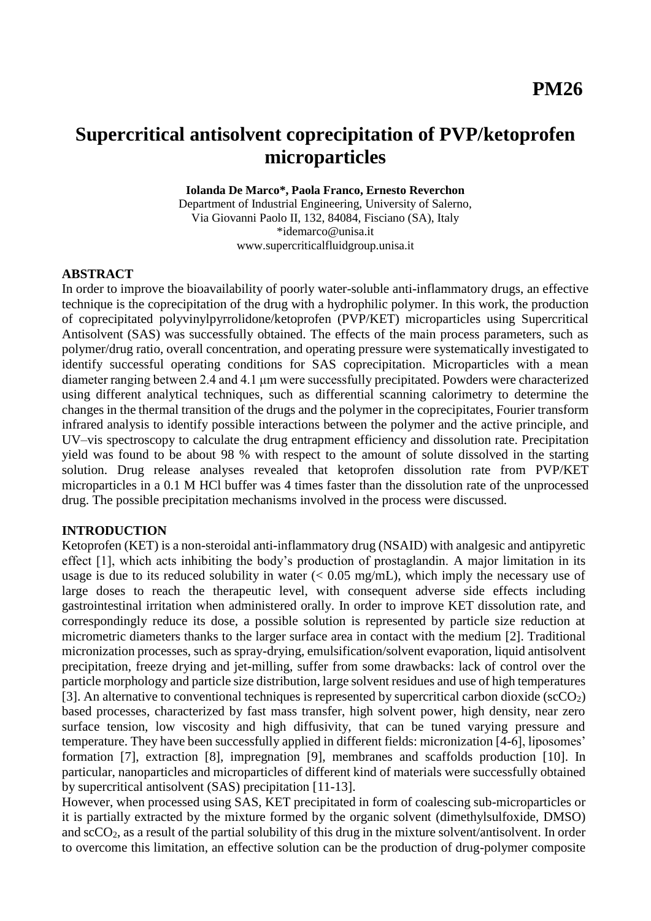# **Supercritical antisolvent coprecipitation of PVP/ketoprofen microparticles**

**Iolanda De Marco\*, Paola Franco, Ernesto Reverchon**

Department of Industrial Engineering, University of Salerno, Via Giovanni Paolo II, 132, 84084, Fisciano (SA), Italy \*idemarco@unisa.it www.supercriticalfluidgroup.unisa.it

#### **ABSTRACT**

In order to improve the bioavailability of poorly water-soluble anti-inflammatory drugs, an effective technique is the coprecipitation of the drug with a hydrophilic polymer. In this work, the production of coprecipitated polyvinylpyrrolidone/ketoprofen (PVP/KET) microparticles using Supercritical Antisolvent (SAS) was successfully obtained. The effects of the main process parameters, such as polymer/drug ratio, overall concentration, and operating pressure were systematically investigated to identify successful operating conditions for SAS coprecipitation. Microparticles with a mean diameter ranging between 2.4 and 4.1 μm were successfully precipitated. Powders were characterized using different analytical techniques, such as differential scanning calorimetry to determine the changes in the thermal transition of the drugs and the polymer in the coprecipitates, Fourier transform infrared analysis to identify possible interactions between the polymer and the active principle, and UV–vis spectroscopy to calculate the drug entrapment efficiency and dissolution rate. Precipitation yield was found to be about 98 % with respect to the amount of solute dissolved in the starting solution. Drug release analyses revealed that ketoprofen dissolution rate from PVP/KET microparticles in a 0.1 M HCl buffer was 4 times faster than the dissolution rate of the unprocessed drug. The possible precipitation mechanisms involved in the process were discussed.

#### **INTRODUCTION**

Ketoprofen (KET) is a non-steroidal anti-inflammatory drug (NSAID) with analgesic and antipyretic effect [1], which acts inhibiting the body's production of prostaglandin. A major limitation in its usage is due to its reduced solubility in water  $(< 0.05$  mg/mL), which imply the necessary use of large doses to reach the therapeutic level, with consequent adverse side effects including gastrointestinal irritation when administered orally. In order to improve KET dissolution rate, and correspondingly reduce its dose, a possible solution is represented by particle size reduction at micrometric diameters thanks to the larger surface area in contact with the medium [2]. Traditional micronization processes, such as spray-drying, emulsification/solvent evaporation, liquid antisolvent precipitation, freeze drying and jet-milling, suffer from some drawbacks: lack of control over the particle morphology and particle size distribution, large solvent residues and use of high temperatures [3]. An alternative to conventional techniques is represented by supercritical carbon dioxide ( $\sec O_2$ ) based processes, characterized by fast mass transfer, high solvent power, high density, near zero surface tension, low viscosity and high diffusivity, that can be tuned varying pressure and temperature. They have been successfully applied in different fields: micronization [4-6], liposomes' formation [7], extraction [8], impregnation [9], membranes and scaffolds production [10]. In particular, nanoparticles and microparticles of different kind of materials were successfully obtained by supercritical antisolvent (SAS) precipitation [11-13].

However, when processed using SAS, KET precipitated in form of coalescing sub-microparticles or it is partially extracted by the mixture formed by the organic solvent (dimethylsulfoxide, DMSO) and  $\sec O_2$ , as a result of the partial solubility of this drug in the mixture solvent/antisolvent. In order to overcome this limitation, an effective solution can be the production of drug-polymer composite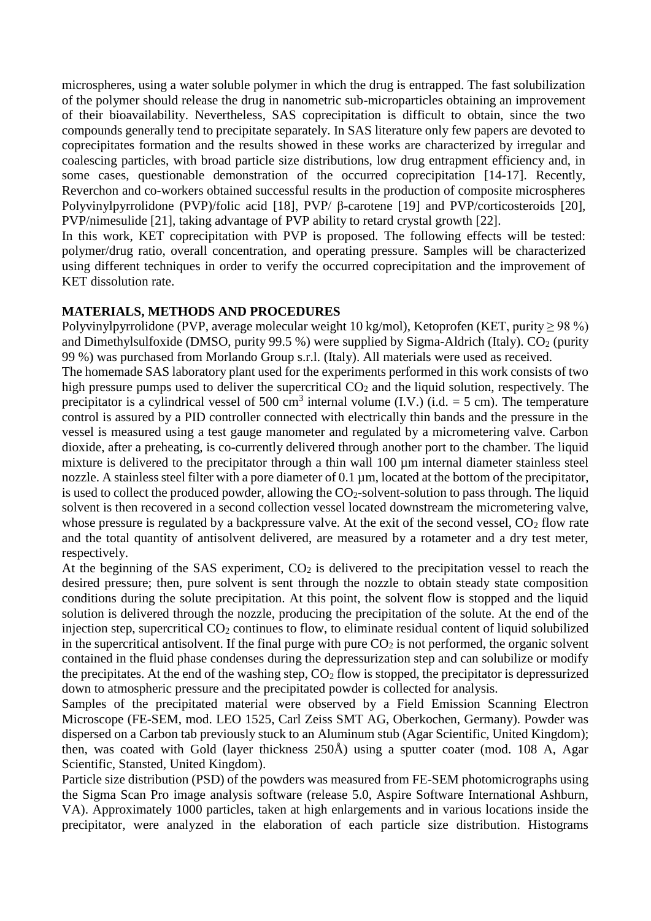microspheres, using a water soluble polymer in which the drug is entrapped. The fast solubilization of the polymer should release the drug in nanometric sub-microparticles obtaining an improvement of their bioavailability. Nevertheless, SAS coprecipitation is difficult to obtain, since the two compounds generally tend to precipitate separately. In SAS literature only few papers are devoted to coprecipitates formation and the results showed in these works are characterized by irregular and coalescing particles, with broad particle size distributions, low drug entrapment efficiency and, in some cases, questionable demonstration of the occurred coprecipitation [14-17]. Recently, Reverchon and co-workers obtained successful results in the production of composite microspheres Polyvinylpyrrolidone (PVP)/folic acid [18], PVP/ β-carotene [19] and PVP/corticosteroids [20], PVP/nimesulide [21], taking advantage of PVP ability to retard crystal growth [22].

In this work, KET coprecipitation with PVP is proposed. The following effects will be tested: polymer/drug ratio, overall concentration, and operating pressure. Samples will be characterized using different techniques in order to verify the occurred coprecipitation and the improvement of KET dissolution rate.

#### **MATERIALS, METHODS AND PROCEDURES**

Polyvinylpyrrolidone (PVP, average molecular weight 10 kg/mol), Ketoprofen (KET, purity  $\geq$  98 %) and Dimethylsulfoxide (DMSO, purity 99.5 %) were supplied by Sigma-Aldrich (Italy).  $CO<sub>2</sub>$  (purity 99 %) was purchased from Morlando Group s.r.l. (Italy). All materials were used as received.

The homemade SAS laboratory plant used for the experiments performed in this work consists of two high pressure pumps used to deliver the supercritical  $CO<sub>2</sub>$  and the liquid solution, respectively. The precipitator is a cylindrical vessel of 500 cm<sup>3</sup> internal volume (I.V.) (i.d. = 5 cm). The temperature control is assured by a PID controller connected with electrically thin bands and the pressure in the vessel is measured using a test gauge manometer and regulated by a micrometering valve. Carbon dioxide, after a preheating, is co-currently delivered through another port to the chamber. The liquid mixture is delivered to the precipitator through a thin wall 100  $\mu$ m internal diameter stainless steel nozzle. A stainless steel filter with a pore diameter of 0.1  $\mu$ m, located at the bottom of the precipitator, is used to collect the produced powder, allowing the  $CO<sub>2</sub>$ -solvent-solution to pass through. The liquid solvent is then recovered in a second collection vessel located downstream the micrometering valve, whose pressure is regulated by a backpressure valve. At the exit of the second vessel,  $CO<sub>2</sub>$  flow rate and the total quantity of antisolvent delivered, are measured by a rotameter and a dry test meter, respectively.

At the beginning of the SAS experiment,  $CO<sub>2</sub>$  is delivered to the precipitation vessel to reach the desired pressure; then, pure solvent is sent through the nozzle to obtain steady state composition conditions during the solute precipitation. At this point, the solvent flow is stopped and the liquid solution is delivered through the nozzle, producing the precipitation of the solute. At the end of the injection step, supercritical  $CO<sub>2</sub>$  continues to flow, to eliminate residual content of liquid solubilized in the supercritical antisolvent. If the final purge with pure  $CO<sub>2</sub>$  is not performed, the organic solvent contained in the fluid phase condenses during the depressurization step and can solubilize or modify the precipitates. At the end of the washing step,  $CO<sub>2</sub>$  flow is stopped, the precipitator is depressurized down to atmospheric pressure and the precipitated powder is collected for analysis.

Samples of the precipitated material were observed by a Field Emission Scanning Electron Microscope (FE-SEM, mod. LEO 1525, Carl Zeiss SMT AG, Oberkochen, Germany). Powder was dispersed on a Carbon tab previously stuck to an Aluminum stub (Agar Scientific, United Kingdom); then, was coated with Gold (layer thickness 250Å) using a sputter coater (mod. 108 A, Agar Scientific, Stansted, United Kingdom).

Particle size distribution (PSD) of the powders was measured from FE-SEM photomicrographs using the Sigma Scan Pro image analysis software (release 5.0, Aspire Software International Ashburn, VA). Approximately 1000 particles, taken at high enlargements and in various locations inside the precipitator, were analyzed in the elaboration of each particle size distribution. Histograms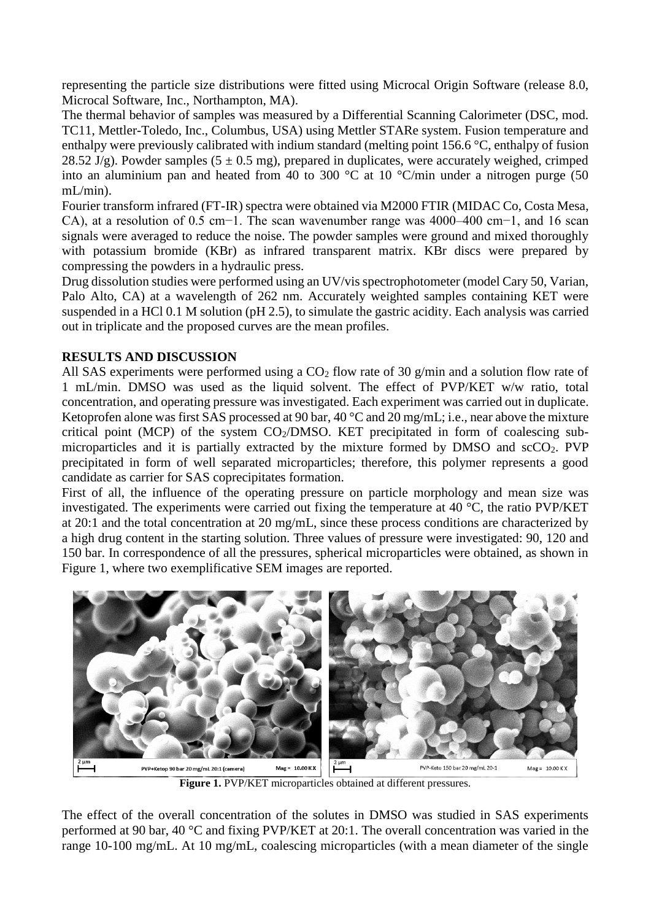representing the particle size distributions were fitted using Microcal Origin Software (release 8.0, Microcal Software, Inc., Northampton, MA).

The thermal behavior of samples was measured by a Differential Scanning Calorimeter (DSC, mod. TC11, Mettler-Toledo, Inc., Columbus, USA) using Mettler STARe system. Fusion temperature and enthalpy were previously calibrated with indium standard (melting point 156.6 °C, enthalpy of fusion 28.52 J/g). Powder samples (5  $\pm$  0.5 mg), prepared in duplicates, were accurately weighed, crimped into an aluminium pan and heated from 40 to 300 °C at 10 °C/min under a nitrogen purge (50 mL/min).

Fourier transform infrared (FT-IR) spectra were obtained via M2000 FTIR (MIDAC Co, Costa Mesa, CA), at a resolution of 0.5 cm−1. The scan wavenumber range was 4000–400 cm−1, and 16 scan signals were averaged to reduce the noise. The powder samples were ground and mixed thoroughly with potassium bromide (KBr) as infrared transparent matrix. KBr discs were prepared by compressing the powders in a hydraulic press.

Drug dissolution studies were performed using an UV/vis spectrophotometer (model Cary 50, Varian, Palo Alto, CA) at a wavelength of 262 nm. Accurately weighted samples containing KET were suspended in a HCl 0.1 M solution (pH 2.5), to simulate the gastric acidity. Each analysis was carried out in triplicate and the proposed curves are the mean profiles.

#### **RESULTS AND DISCUSSION**

All SAS experiments were performed using a  $CO<sub>2</sub>$  flow rate of 30 g/min and a solution flow rate of 1 mL/min. DMSO was used as the liquid solvent. The effect of PVP/KET w/w ratio, total concentration, and operating pressure was investigated. Each experiment was carried out in duplicate. Ketoprofen alone was first SAS processed at 90 bar, 40 °C and 20 mg/mL; i.e., near above the mixture critical point (MCP) of the system  $CO<sub>2</sub>/DMSO$ . KET precipitated in form of coalescing submicroparticles and it is partially extracted by the mixture formed by DMSO and  $\text{scCO}_2$ . PVP precipitated in form of well separated microparticles; therefore, this polymer represents a good candidate as carrier for SAS coprecipitates formation.

First of all, the influence of the operating pressure on particle morphology and mean size was investigated. The experiments were carried out fixing the temperature at 40 °C, the ratio PVP/KET at 20:1 and the total concentration at 20 mg/mL, since these process conditions are characterized by a high drug content in the starting solution. Three values of pressure were investigated: 90, 120 and 150 bar. In correspondence of all the pressures, spherical microparticles were obtained, as shown in Figure 1, where two exemplificative SEM images are reported.



**Figure 1.** PVP/KET microparticles obtained at different pressures.

The effect of the overall concentration of the solutes in DMSO was studied in SAS experiments performed at 90 bar, 40 °C and fixing PVP/KET at 20:1. The overall concentration was varied in the range 10-100 mg/mL. At 10 mg/mL, coalescing microparticles (with a mean diameter of the single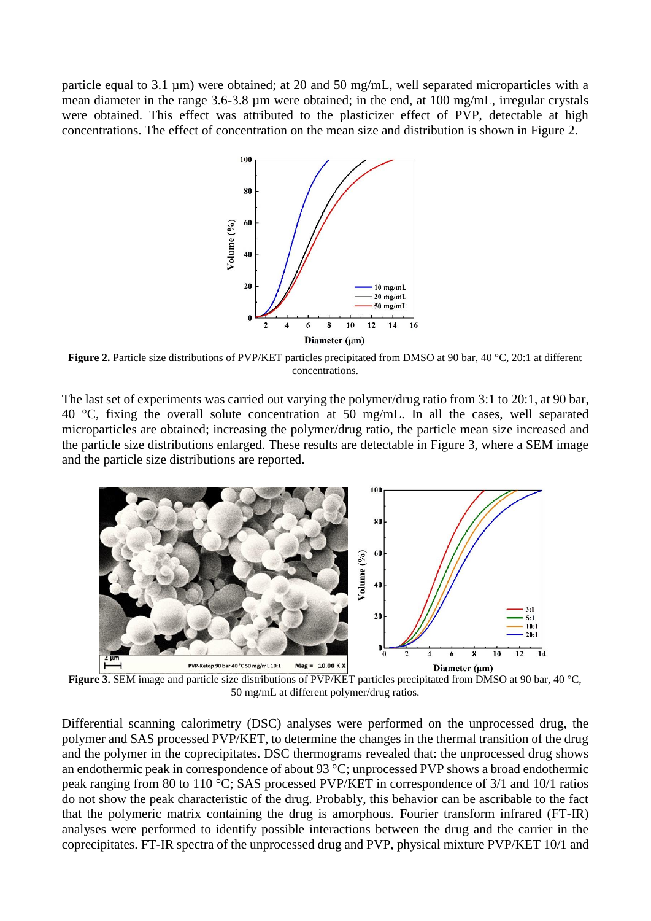particle equal to 3.1 µm) were obtained; at 20 and 50 mg/mL, well separated microparticles with a mean diameter in the range 3.6-3.8 µm were obtained; in the end, at 100 mg/mL, irregular crystals were obtained. This effect was attributed to the plasticizer effect of PVP, detectable at high concentrations. The effect of concentration on the mean size and distribution is shown in Figure 2.



**Figure 2.** Particle size distributions of PVP/KET particles precipitated from DMSO at 90 bar, 40 °C, 20:1 at different concentrations.

The last set of experiments was carried out varying the polymer/drug ratio from 3:1 to 20:1, at 90 bar, 40 °C, fixing the overall solute concentration at 50 mg/mL. In all the cases, well separated microparticles are obtained; increasing the polymer/drug ratio, the particle mean size increased and the particle size distributions enlarged. These results are detectable in Figure 3, where a SEM image and the particle size distributions are reported.



**Figure 3.** SEM image and particle size distributions of PVP/KET particles precipitated from DMSO at 90 bar, 40 °C, 50 mg/mL at different polymer/drug ratios.

Differential scanning calorimetry (DSC) analyses were performed on the unprocessed drug, the polymer and SAS processed PVP/KET, to determine the changes in the thermal transition of the drug and the polymer in the coprecipitates. DSC thermograms revealed that: the unprocessed drug shows an endothermic peak in correspondence of about 93 °C; unprocessed PVP shows a broad endothermic peak ranging from 80 to 110 °C; SAS processed PVP/KET in correspondence of 3/1 and 10/1 ratios do not show the peak characteristic of the drug. Probably, this behavior can be ascribable to the fact that the polymeric matrix containing the drug is amorphous. Fourier transform infrared (FT-IR) analyses were performed to identify possible interactions between the drug and the carrier in the coprecipitates. FT-IR spectra of the unprocessed drug and PVP, physical mixture PVP/KET 10/1 and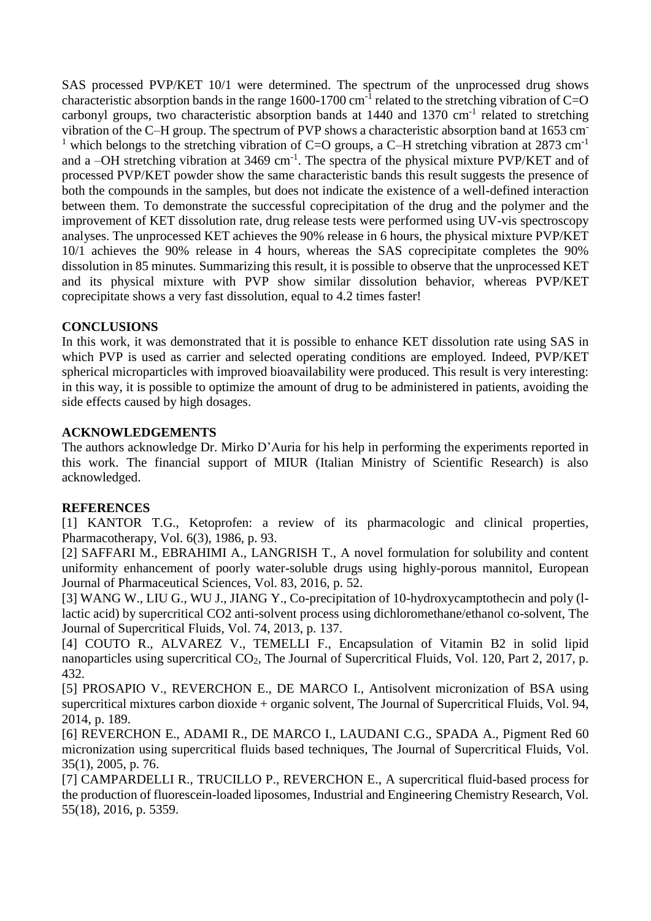SAS processed PVP/KET 10/1 were determined. The spectrum of the unprocessed drug shows characteristic absorption bands in the range 1600-1700 cm<sup>-1</sup> related to the stretching vibration of C=O carbonyl groups, two characteristic absorption bands at 1440 and 1370 cm<sup>-1</sup> related to stretching vibration of the C–H group. The spectrum of PVP shows a characteristic absorption band at 1653 cm-<sup>1</sup> which belongs to the stretching vibration of C=O groups, a C–H stretching vibration at 2873 cm<sup>-1</sup> and a  $-OH$  stretching vibration at 3469 cm<sup>-1</sup>. The spectra of the physical mixture PVP/KET and of processed PVP/KET powder show the same characteristic bands this result suggests the presence of both the compounds in the samples, but does not indicate the existence of a well-defined interaction between them. To demonstrate the successful coprecipitation of the drug and the polymer and the improvement of KET dissolution rate, drug release tests were performed using UV-vis spectroscopy analyses. The unprocessed KET achieves the 90% release in 6 hours, the physical mixture PVP/KET 10/1 achieves the 90% release in 4 hours, whereas the SAS coprecipitate completes the 90% dissolution in 85 minutes. Summarizing this result, it is possible to observe that the unprocessed KET and its physical mixture with PVP show similar dissolution behavior, whereas PVP/KET coprecipitate shows a very fast dissolution, equal to 4.2 times faster!

#### **CONCLUSIONS**

In this work, it was demonstrated that it is possible to enhance KET dissolution rate using SAS in which PVP is used as carrier and selected operating conditions are employed. Indeed, PVP/KET spherical microparticles with improved bioavailability were produced. This result is very interesting: in this way, it is possible to optimize the amount of drug to be administered in patients, avoiding the side effects caused by high dosages.

### **ACKNOWLEDGEMENTS**

The authors acknowledge Dr. Mirko D'Auria for his help in performing the experiments reported in this work. The financial support of MIUR (Italian Ministry of Scientific Research) is also acknowledged.

## **REFERENCES**

[1] KANTOR T.G., Ketoprofen: a review of its pharmacologic and clinical properties, Pharmacotherapy, Vol. 6(3), 1986, p. 93.

[2] SAFFARI M., EBRAHIMI A., LANGRISH T., A novel formulation for solubility and content uniformity enhancement of poorly water-soluble drugs using highly-porous mannitol, European Journal of Pharmaceutical Sciences, Vol. 83, 2016, p. 52.

[3] WANG W., LIU G., WU J., JIANG Y., Co-precipitation of 10-hydroxycamptothecin and poly (1lactic acid) by supercritical CO2 anti-solvent process using dichloromethane/ethanol co-solvent, The Journal of Supercritical Fluids, Vol. 74, 2013, p. 137.

[4] COUTO R., ALVAREZ V., TEMELLI F., Encapsulation of Vitamin B2 in solid lipid nanoparticles using supercritical CO<sub>2</sub>, The Journal of Supercritical Fluids, Vol. 120, Part 2, 2017, p. 432.

[5] PROSAPIO V., REVERCHON E., DE MARCO I., Antisolvent micronization of BSA using supercritical mixtures carbon dioxide + organic solvent, The Journal of Supercritical Fluids, Vol. 94, 2014, p. 189.

[6] REVERCHON E., ADAMI R., DE MARCO I., LAUDANI C.G., SPADA A., Pigment Red 60 micronization using supercritical fluids based techniques, The Journal of Supercritical Fluids, Vol. 35(1), 2005, p. 76.

[7] CAMPARDELLI R., TRUCILLO P., REVERCHON E., A supercritical fluid-based process for the production of fluorescein-loaded liposomes, Industrial and Engineering Chemistry Research, Vol. 55(18), 2016, p. 5359.